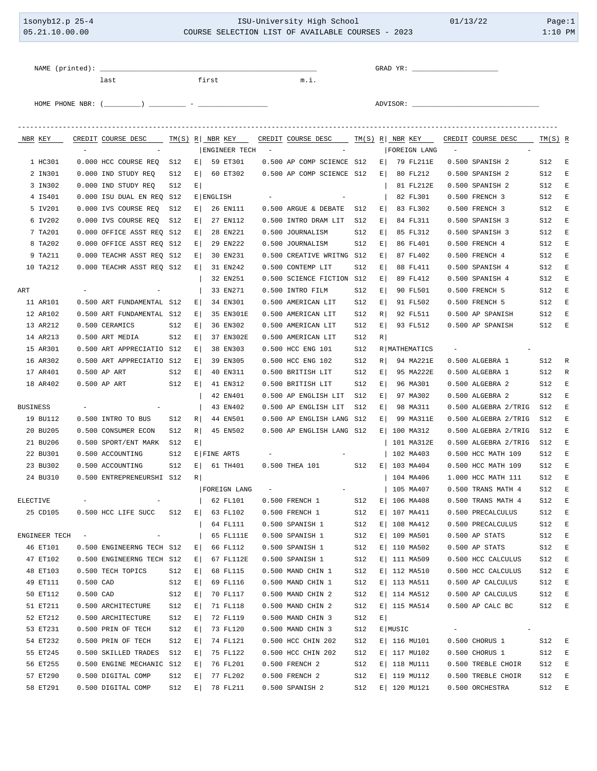| 1sonyb12.p 25-4<br>05.21.10.00.00 |     |                      |                          |                                                                                                      | ISU-University High School<br>COURSE SELECTION LIST OF AVAILABLE COURSES - 2023 |           |           |                      |            |                                               |            |          |  | 01/13/22                  | Page:1<br>$1:10$ PM             |                                              |            |             |
|-----------------------------------|-----|----------------------|--------------------------|------------------------------------------------------------------------------------------------------|---------------------------------------------------------------------------------|-----------|-----------|----------------------|------------|-----------------------------------------------|------------|----------|--|---------------------------|---------------------------------|----------------------------------------------|------------|-------------|
|                                   |     |                      |                          | NAME (printed):<br>last                                                                              |                                                                                 |           | first     |                      |            | m.i.                                          |            |          |  |                           |                                 |                                              |            |             |
|                                   |     |                      |                          | HOME PHONE NBR: $(\_\_$ ( $\_\_$                                                                     |                                                                                 |           |           |                      |            |                                               |            |          |  |                           |                                 |                                              |            |             |
|                                   |     |                      |                          | NBR KEY CREDIT COURSE DESC TM(S) R   NBR KEY CREDIT COURSE DESC TM(S) R   NBR KEY CREDIT COURSE DESC |                                                                                 |           |           |                      |            |                                               |            |          |  |                           |                                 |                                              | $TM(S)$ R  |             |
|                                   |     |                      | $\overline{\phantom{a}}$ |                                                                                                      |                                                                                 |           |           | <b>ENGINEER TECH</b> | $\sim$ $-$ |                                               |            |          |  | FOREIGN LANG              | $\hspace{0.1mm}-\hspace{0.1mm}$ |                                              |            |             |
|                                   |     | 1 HC301              |                          | 0.000 HCC COURSE REQ                                                                                 | S12                                                                             | E         |           | 59 ET301             |            | 0.500 AP COMP SCIENCE S12                     |            | $E \mid$ |  | 79 FL211E                 |                                 | 0.500 SPANISH 2                              | S12        | E           |
|                                   |     | 2 IN301              |                          | 0.000 IND STUDY REQ                                                                                  | S12                                                                             | $E \vert$ |           | 60 ET302             |            | 0.500 AP COMP SCIENCE S12                     |            | $E \mid$ |  | 80 FL212                  |                                 | 0.500 SPANISH 2                              | S12        | E           |
|                                   |     | 3 IN302              |                          | 0.000 IND STUDY REQ                                                                                  | S12                                                                             | E         |           |                      |            |                                               |            |          |  | 81 FL212E                 |                                 | 0.500 SPANISH 2                              | S12        | E           |
|                                   |     | 4 IS401              |                          | 0.000 ISU DUAL EN REQ S12                                                                            |                                                                                 |           | E ENGLISH |                      |            |                                               |            |          |  | 82 FL301                  |                                 | 0.500 FRENCH 3                               | S12        | E           |
|                                   |     | 5 IV201              |                          | 0.000 IVS COURSE REQ                                                                                 | S12                                                                             | E         |           | 26 EN111             |            | 0.500 ARGUE & DEBATE S12                      |            | E        |  | 83 FL302                  |                                 | 0.500 FRENCH 3                               | S12        | E           |
|                                   |     | 6 IV202              |                          | 0.000 IVS COURSE REQ                                                                                 | S12                                                                             | E         |           | 27 EN112             |            | 0.500 INTRO DRAM LIT                          | S12        | E        |  | 84 FL311                  |                                 | 0.500 SPANISH 3                              | S12        | E           |
|                                   |     | 7 TA201              |                          | 0.000 OFFICE ASST REQ S12                                                                            |                                                                                 | E         |           | 28 EN221             |            | 0.500 JOURNALISM                              | S12        | E        |  | 85 FL312                  |                                 | 0.500 SPANISH 3                              | S12        | E           |
|                                   |     | 8 TA202<br>9 TA211   |                          | 0.000 OFFICE ASST REQ S12<br>0.000 TEACHR ASST REQ S12                                               |                                                                                 | E <br>E   |           | 29 EN222<br>30 EN231 |            | 0.500 JOURNALISM<br>0.500 CREATIVE WRITNG S12 | S12        | E <br>E  |  | 86 FL401<br>87 FL402      |                                 | 0.500 FRENCH 4<br>0.500 FRENCH 4             | S12<br>S12 | E<br>E      |
|                                   |     | 10 TA212             |                          | 0.000 TEACHR ASST REO S12                                                                            |                                                                                 | E         |           | 31 EN242             |            | 0.500 CONTEMP LIT                             | S12        | E        |  | 88 FL411                  |                                 | 0.500 SPANISH 4                              | S12        | E           |
|                                   |     |                      |                          |                                                                                                      |                                                                                 |           |           | 32 EN251             |            | 0.500 SCIENCE FICTION S12                     |            | E        |  | 89 FL412                  |                                 | 0.500 SPANISH 4                              | S12        | E           |
|                                   | ART |                      |                          |                                                                                                      |                                                                                 |           |           | 33 EN271             |            | 0.500 INTRO FILM                              | S12        | E        |  | 90 FL501                  |                                 | 0.500 FRENCH 5                               | S12        | E           |
|                                   |     | 11 AR101             |                          | 0.500 ART FUNDAMENTAL S12                                                                            |                                                                                 | E         |           | 34 EN301             |            | 0.500 AMERICAN LIT                            | S12        | $E \mid$ |  | 91 FL502                  |                                 | 0.500 FRENCH 5                               | S12        | E           |
|                                   |     | 12 AR102             |                          | 0.500 ART FUNDAMENTAL S12                                                                            |                                                                                 | E         |           | 35 EN301E            |            | 0.500 AMERICAN LIT                            | S12        | R        |  | 92 FL511                  |                                 | 0.500 AP SPANISH                             | S12        | $-E$        |
|                                   |     | 13 AR212             |                          | 0.500 CERAMICS                                                                                       | S12                                                                             | E         |           | 36 EN302             |            | 0.500 AMERICAN LIT                            | S12        | $E \mid$ |  | 93 FL512                  |                                 | 0.500 AP SPANISH                             | S12        | $-E$        |
|                                   |     | 14 AR213             |                          | 0.500 ART MEDIA                                                                                      | S12                                                                             | E         |           | 37 EN302E            |            | 0.500 AMERICAN LIT                            | S12        | R        |  |                           |                                 |                                              |            |             |
|                                   |     | 15 AR301             |                          | 0.500 ART APPRECIATIO S12                                                                            |                                                                                 | E         |           | 38 EN303             |            | 0.500 HCC ENG 101                             | S12        |          |  | R   MATHEMATICS           |                                 |                                              |            |             |
|                                   |     | 16 AR302             |                          | 0.500 ART APPRECIATIO S12                                                                            |                                                                                 | E         |           | 39 EN305             |            | 0.500 HCC ENG 102                             | S12        | R        |  | 94 MA221E                 |                                 | 0.500 ALGEBRA 1                              | S12        | R           |
|                                   |     | 17 AR401             |                          | 0.500 AP ART                                                                                         | S12                                                                             | E         |           | 40 EN311             |            | 0.500 BRITISH LIT                             | S12        | $E \mid$ |  | 95 MA222E                 |                                 | 0.500 ALGEBRA 1                              | S12        | R           |
|                                   |     | 18 AR402             |                          | 0.500 AP ART                                                                                         | S12                                                                             | E         |           | 41 EN312             |            | 0.500 BRITISH LIT                             | S12        | E        |  | 96 MA301                  |                                 | 0.500 ALGEBRA 2                              | S12        | E           |
|                                   |     |                      |                          |                                                                                                      |                                                                                 |           |           | 42 EN401             |            | 0.500 AP ENGLISH LIT                          | S12        | E        |  | 97 MA302                  |                                 | 0.500 ALGEBRA 2                              | S12        | E           |
|                                   |     | <b>BUSINESS</b>      |                          |                                                                                                      |                                                                                 |           |           | 43 EN402             |            | 0.500 AP ENGLISH LIT                          | S12        | $E \mid$ |  | 98 MA311                  |                                 | 0.500 ALGEBRA 2/TRIG                         | S12        | E           |
|                                   |     | 19 BU112<br>20 BU205 |                          | 0.500 INTRO TO BUS                                                                                   | S12                                                                             | R         |           | 44 EN501             |            | 0.500 AP ENGLISH LANG S12                     |            | $E \mid$ |  | 99 MA311E                 |                                 | 0.500 ALGEBRA 2/TRIG<br>0.500 ALGEBRA 2/TRIG | S12        | E           |
|                                   |     | 21 BU206             |                          | 0.500 CONSUMER ECON<br>0.500 SPORT/ENT MARK S12                                                      | S12                                                                             | R<br>E    |           | 45 EN502             |            | 0.500 AP ENGLISH LANG S12                     |            |          |  | E 100 MA312<br>101 MA312E |                                 | 0.500 ALGEBRA 2/TRIG S12                     | S12        | $-E$<br>E   |
|                                   |     | 22 BU301             |                          | 0.500 ACCOUNTING                                                                                     | S12 E FINE ARTS                                                                 |           |           |                      |            |                                               |            |          |  | 102 MA403                 |                                 | 0.500 HCC MATH 109 S12 E                     |            |             |
|                                   |     | 23 BU302             |                          | 0.500 ACCOUNTING                                                                                     | S12                                                                             | $E \mid$  |           | 61 TH401             |            | 0.500 THEA 101                                | S12        |          |  | E   103 MA404             |                                 | 0.500 HCC MATH 109                           | S12        | E           |
|                                   |     | 24 BU310             |                          | 0.500 ENTREPRENEURSHI S12                                                                            |                                                                                 | R         |           |                      |            |                                               |            |          |  | 104 MA406                 |                                 | 1.000 HCC MATH 111                           | S12        | $\mathbf E$ |
|                                   |     |                      |                          |                                                                                                      |                                                                                 |           |           | FOREIGN LANG         | $\sim$ $-$ |                                               |            |          |  | 105 MA407                 |                                 | 0.500 TRANS MATH 4                           | S12        | $\mathbf E$ |
|                                   |     | ELECTIVE             |                          |                                                                                                      |                                                                                 |           |           | 62 FL101             |            | 0.500 FRENCH 1                                | S12        |          |  | E 106 MA408               |                                 | 0.500 TRANS MATH 4                           | S12        | $\,$ E      |
|                                   |     | 25 CD105             |                          | 0.500 HCC LIFE SUCC                                                                                  | S12                                                                             | E         |           | 63 FL102             |            | 0.500 FRENCH 1                                | S12        |          |  | E   107 MA411             |                                 | 0.500 PRECALCULUS                            | S12        | E           |
|                                   |     |                      |                          |                                                                                                      |                                                                                 |           |           | 64 FL111             |            | 0.500 SPANISH 1                               | S12        |          |  | E 108 MA412               |                                 | 0.500 PRECALCULUS                            | S12        | E           |
|                                   |     | ENGINEER TECH        | $\sim$                   |                                                                                                      |                                                                                 |           |           | 65 FL111E            |            | 0.500 SPANISH 1                               | S12        |          |  | E   109 MA501             |                                 | $0.500$ AP STATS                             | S12        | E           |
|                                   |     | 46 ET101             |                          | 0.500 ENGINEERNG TECH S12                                                                            |                                                                                 | E         |           | 66 FL112             |            | 0.500 SPANISH 1                               | S12        |          |  | E   110 MA502             |                                 | 0.500 AP STATS                               | S12        | E           |
|                                   |     | 47 ET102             |                          | 0.500 ENGINEERNG TECH S12                                                                            |                                                                                 | E         |           | 67 FL112E            |            | $0.500$ SPANISH $1$                           | S12        |          |  | E 111 MA509               |                                 | 0.500 HCC CALCULUS                           | S12        | E           |
|                                   |     | 48 ET103             |                          | 0.500 TECH TOPICS                                                                                    | S12                                                                             | E         |           | 68 FL115             |            | 0.500 MAND CHIN 1                             | S12        |          |  | E 112 MA510               |                                 | 0.500 HCC CALCULUS                           | S12        | E           |
|                                   |     | 49 ET111             | $0.500$ CAD              |                                                                                                      | S12                                                                             | E         |           | 69 FL116             |            | 0.500 MAND CHIN 1                             | S12        |          |  | E   113 MA511             |                                 | 0.500 AP CALCULUS                            | S12        | E           |
|                                   |     | 50 ET112             | $0.500$ CAD              |                                                                                                      | S12                                                                             | E         |           | 70 FL117             |            | 0.500 MAND CHIN 2                             | S12        |          |  | E 114 MA512               |                                 | 0.500 AP CALCULUS                            | S12        | E           |
|                                   |     | 51 ET211<br>52 ET212 |                          | 0.500 ARCHITECTURE                                                                                   | S12                                                                             | E         |           | 71 FL118             |            | 0.500 MAND CHIN 2                             | S12        |          |  | E   115 MA514             |                                 | $0.500$ AP CALC BC                           | S12        | E           |
|                                   |     | 53 ET231             |                          | 0.500 ARCHITECTURE<br>0.500 PRIN OF TECH                                                             | S12<br>S12                                                                      | E <br>E   |           | 72 FL119<br>73 FL120 |            | 0.500 MAND CHIN 3<br>0.500 MAND CHIN 3        | S12<br>S12 | $E \mid$ |  | E   MUSIC                 |                                 |                                              |            |             |
|                                   |     | 54 ET232             |                          | 0.500 PRIN OF TECH                                                                                   | S12                                                                             | E         |           | 74 FL121             |            | 0.500 HCC CHIN 202                            | S12        |          |  | E   116 MU101             |                                 | 0.500 CHORUS 1                               | S12        | E           |
|                                   |     | 55 ET245             |                          | 0.500 SKILLED TRADES                                                                                 | S12                                                                             | E         |           | 75 FL122             |            | 0.500 HCC CHIN 202                            | S12        |          |  | E   117 MU102             |                                 | 0.500 CHORUS 1                               | S12        | $\mathbf E$ |
|                                   |     | 56 ET255             |                          | 0.500 ENGINE MECHANIC S12                                                                            |                                                                                 | E         |           | 76 FL201             |            | 0.500 FRENCH 2                                | S12        |          |  | E   118 MU111             |                                 | 0.500 TREBLE CHOIR                           | S12        | E           |
|                                   |     | 57 ET290             |                          | 0.500 DIGITAL COMP                                                                                   | S12                                                                             | E         |           | 77 FL202             |            | 0.500 FRENCH 2                                | S12        |          |  | E   119 MU112             |                                 | 0.500 TREBLE CHOIR                           | S12        | E           |
|                                   |     | 58 ET291             |                          | 0.500 DIGITAL COMP                                                                                   | S12                                                                             | E         |           | 78 FL211             |            | 0.500 SPANISH 2                               | S12        |          |  | E   120 MU121             |                                 | 0.500 ORCHESTRA                              | S12        | $\mathbf E$ |
|                                   |     |                      |                          |                                                                                                      |                                                                                 |           |           |                      |            |                                               |            |          |  |                           |                                 |                                              |            |             |